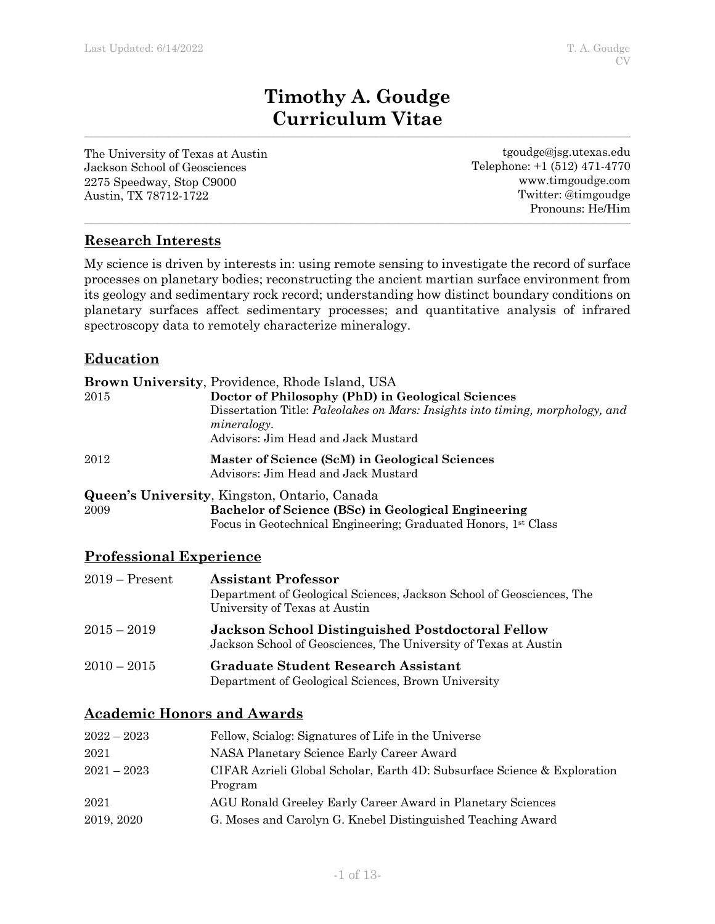# **Timothy A. Goudge Curriculum Vitae**

**\_\_\_\_\_\_\_\_\_\_\_\_\_\_\_\_\_\_\_\_\_\_\_\_\_\_\_\_\_\_\_\_\_\_\_\_\_\_\_\_\_\_\_\_\_\_\_\_\_\_\_\_\_\_\_\_\_\_\_\_\_\_\_\_\_\_\_\_\_\_\_\_\_\_\_\_\_\_\_\_\_\_\_\_\_\_\_\_\_\_\_\_\_\_\_\_\_\_\_\_\_\_\_\_\_\_\_\_\_\_\_\_\_\_\_\_\_\_\_\_\_\_\_\_\_\_\_\_\_\_\_\_\_\_\_\_\_\_\_\_\_\_\_\_\_\_\_\_\_\_\_\_\_\_\_\_**

The University of Texas at Austin Jackson School of Geosciences 2275 Speedway, Stop C9000 Austin, TX 78712-1722

tgoudge@jsg.utexas.edu Telephone: +1 (512) 471-4770 www.timgoudge.com Twitter: @timgoudge Pronouns: He/Him

# **Research Interests**

My science is driven by interests in: using remote sensing to investigate the record of surface processes on planetary bodies; reconstructing the ancient martian surface environment from its geology and sedimentary rock record; understanding how distinct boundary conditions on planetary surfaces affect sedimentary processes; and quantitative analysis of infrared spectroscopy data to remotely characterize mineralogy.

**\_\_\_\_\_\_\_\_\_\_\_\_\_\_\_\_\_\_\_\_\_\_\_\_\_\_\_\_\_\_\_\_\_\_\_\_\_\_\_\_\_\_\_\_\_\_\_\_\_\_\_\_\_\_\_\_\_\_\_\_\_\_\_\_\_\_\_\_\_\_\_\_\_\_\_\_\_\_\_\_\_\_\_\_\_\_\_\_\_\_\_\_\_\_\_\_\_\_\_\_\_\_\_\_\_\_\_\_\_\_\_\_\_\_\_\_\_\_\_\_\_\_\_\_\_\_\_\_\_\_\_\_\_\_\_\_\_\_\_\_\_\_\_\_\_\_\_\_\_\_\_\_\_\_\_\_**

# **Education**

|          | <b>Brown University, Providence, Rhode Island, USA</b>                                                                                     |
|----------|--------------------------------------------------------------------------------------------------------------------------------------------|
| $2015\,$ | Doctor of Philosophy (PhD) in Geological Sciences                                                                                          |
|          | Dissertation Title: Paleolakes on Mars: Insights into timing, morphology, and<br><i>mineralogy.</i><br>Advisors: Jim Head and Jack Mustard |
| 2012     | Master of Science (ScM) in Geological Sciences<br>Advisors: Jim Head and Jack Mustard                                                      |
|          | <b>Queen's University, Kingston, Ontario, Canada</b>                                                                                       |
| 2009     | Bachelor of Science (BSc) in Geological Engineering                                                                                        |
|          | Focus in Geotechnical Engineering; Graduated Honors, 1 <sup>st</sup> Class                                                                 |

## **Professional Experience**

| $2019 -$ Present | <b>Assistant Professor</b><br>Department of Geological Sciences, Jackson School of Geosciences, The<br>University of Texas at Austin |
|------------------|--------------------------------------------------------------------------------------------------------------------------------------|
| $2015-2019$      | <b>Jackson School Distinguished Postdoctoral Fellow</b><br>Jackson School of Geosciences, The University of Texas at Austin          |
| $2010 - 2015$    | Graduate Student Research Assistant<br>Department of Geological Sciences, Brown University                                           |

## **Academic Honors and Awards**

| $2022 - 2023$ | Fellow, Scialog: Signatures of Life in the Universe                                 |
|---------------|-------------------------------------------------------------------------------------|
| 2021          | NASA Planetary Science Early Career Award                                           |
| $2021 - 2023$ | CIFAR Azrieli Global Scholar, Earth 4D: Subsurface Science & Exploration<br>Program |
| 2021          | AGU Ronald Greeley Early Career Award in Planetary Sciences                         |
| 2019, 2020    | G. Moses and Carolyn G. Knebel Distinguished Teaching Award                         |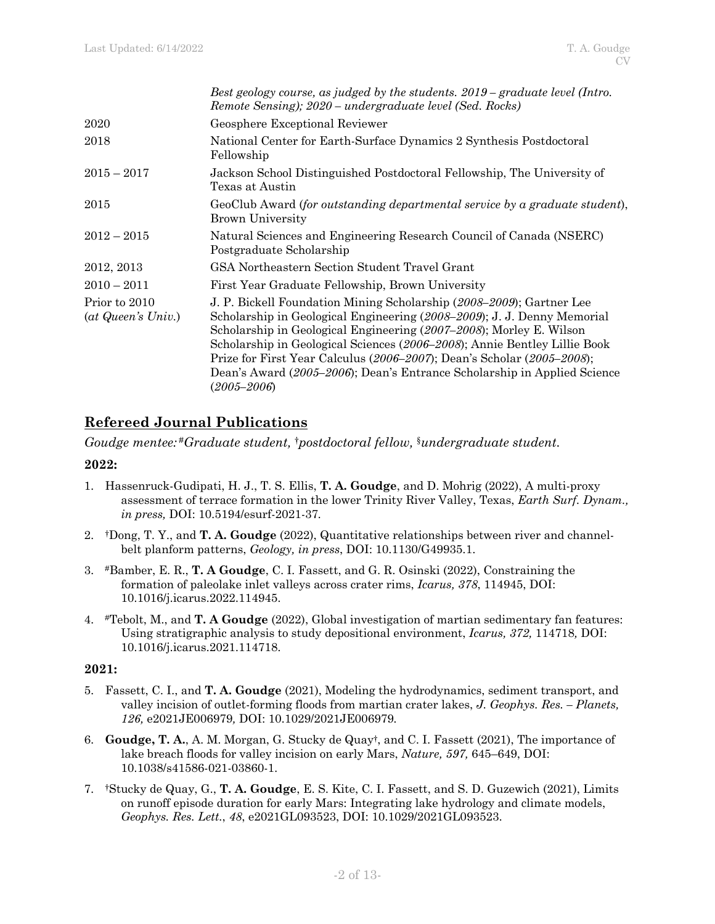|                                                             | Best geology course, as judged by the students. $2019$ – graduate level (Intro.<br>Remote Sensing); 2020 – undergraduate level (Sed. Rocks)                                                                                                                                                                                                                                                                                                                                        |
|-------------------------------------------------------------|------------------------------------------------------------------------------------------------------------------------------------------------------------------------------------------------------------------------------------------------------------------------------------------------------------------------------------------------------------------------------------------------------------------------------------------------------------------------------------|
| 2020                                                        | Geosphere Exceptional Reviewer                                                                                                                                                                                                                                                                                                                                                                                                                                                     |
| 2018                                                        | National Center for Earth-Surface Dynamics 2 Synthesis Postdoctoral<br>Fellowship                                                                                                                                                                                                                                                                                                                                                                                                  |
| $2015 - 2017$                                               | Jackson School Distinguished Postdoctoral Fellowship, The University of<br>Texas at Austin                                                                                                                                                                                                                                                                                                                                                                                         |
| 2015                                                        | GeoClub Award (for outstanding departmental service by a graduate student),<br><b>Brown University</b>                                                                                                                                                                                                                                                                                                                                                                             |
| $2012 - 2015$                                               | Natural Sciences and Engineering Research Council of Canada (NSERC)<br>Postgraduate Scholarship                                                                                                                                                                                                                                                                                                                                                                                    |
| 2012, 2013                                                  | GSA Northeastern Section Student Travel Grant                                                                                                                                                                                                                                                                                                                                                                                                                                      |
| $2010 - 2011$                                               | First Year Graduate Fellowship, Brown University                                                                                                                                                                                                                                                                                                                                                                                                                                   |
| Prior to 2010<br>$(at\text{ }Queuen\text{'s}\text{ }Univ.)$ | J. P. Bickell Foundation Mining Scholarship (2008–2009); Gartner Lee<br>Scholarship in Geological Engineering (2008–2009); J. J. Denny Memorial<br>Scholarship in Geological Engineering (2007–2008); Morley E. Wilson<br>Scholarship in Geological Sciences (2006–2008); Annie Bentley Lillie Book<br>Prize for First Year Calculus (2006–2007); Dean's Scholar (2005–2008);<br>Dean's Award (2005–2006); Dean's Entrance Scholarship in Applied Science<br>$(2005\text{--}2006)$ |

# **Refereed Journal Publications**

*Goudge mentee:* #*Graduate student,* †*postdoctoral fellow,* §*undergraduate student.*

### **2022:**

- 1. Hassenruck-Gudipati, H. J., T. S. Ellis, **T. A. Goudge**, and D. Mohrig (2022), A multi-proxy assessment of terrace formation in the lower Trinity River Valley, Texas, *Earth Surf. Dynam., in press,* DOI: 10.5194/esurf-2021-37*.*
- 2. †Dong, T. Y., and **T. A. Goudge** (2022), Quantitative relationships between river and channelbelt planform patterns, *Geology, in press*, DOI: 10.1130/G49935.1.
- 3. #Bamber, E. R., **T. A Goudge**, C. I. Fassett, and G. R. Osinski (2022), Constraining the formation of paleolake inlet valleys across crater rims, *Icarus, 378*, 114945, DOI: 10.1016/j.icarus.2022.114945.
- 4. #Tebolt, M., and **T. A Goudge** (2022), Global investigation of martian sedimentary fan features: Using stratigraphic analysis to study depositional environment, *Icarus, 372,* 114718*,* DOI: 10.1016/j.icarus.2021.114718.

### **2021:**

- 5. Fassett, C. I., and **T. A. Goudge** (2021), Modeling the hydrodynamics, sediment transport, and valley incision of outlet-forming floods from martian crater lakes, *J. Geophys. Res. – Planets, 126,* e2021JE006979*,* DOI: 10.1029/2021JE006979*.*
- 6. **Goudge, T. A.**, A. M. Morgan, G. Stucky de Quay†, and C. I. Fassett (2021), The importance of lake breach floods for valley incision on early Mars, *Nature, 597,* 645–649, DOI: 10.1038/s41586-021-03860-1.
- 7. †Stucky de Quay, G., **T. A. Goudge**, E. S. Kite, C. I. Fassett, and S. D. Guzewich (2021), Limits on runoff episode duration for early Mars: Integrating lake hydrology and climate models, *Geophys. Res. Lett.*, *48*, e2021GL093523, DOI: 10.1029/2021GL093523.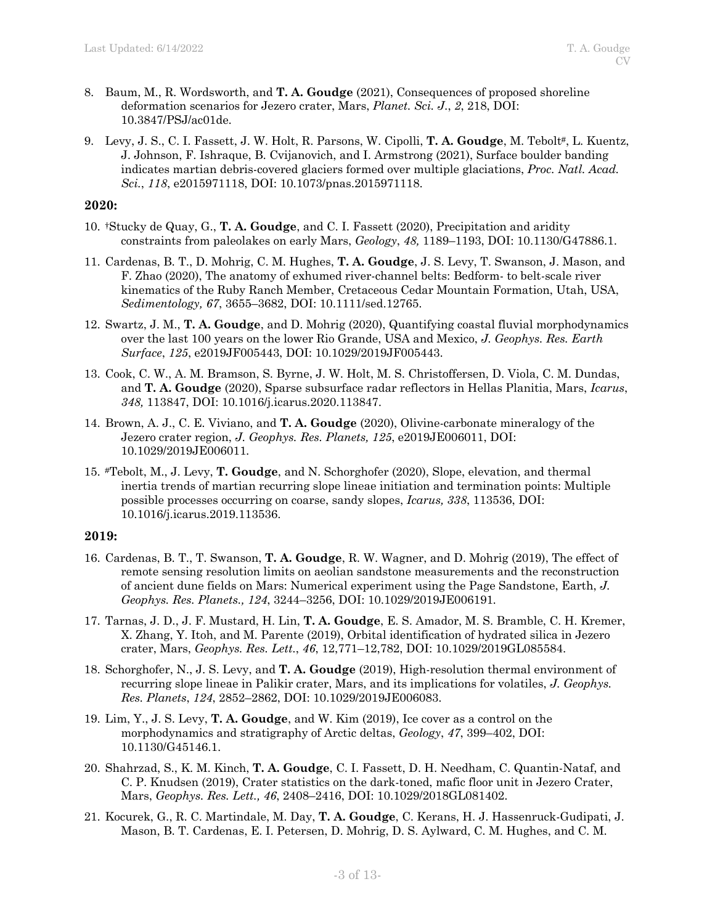- 8. Baum, M., R. Wordsworth, and **T. A. Goudge** (2021), Consequences of proposed shoreline deformation scenarios for Jezero crater, Mars, *Planet. Sci. J*., *2*, 218, DOI: 10.3847/PSJ/ac01de.
- 9. Levy, J. S., C. I. Fassett, J. W. Holt, R. Parsons, W. Cipolli, **T. A. Goudge**, M. Tebolt#, L. Kuentz, J. Johnson, F. Ishraque, B. Cvijanovich, and I. Armstrong (2021), Surface boulder banding indicates martian debris-covered glaciers formed over multiple glaciations, *Proc. Natl. Acad. Sci.*, *118*, e2015971118, DOI: 10.1073/pnas.2015971118.

#### **2020:**

- 10. †Stucky de Quay, G., **T. A. Goudge**, and C. I. Fassett (2020), Precipitation and aridity constraints from paleolakes on early Mars, *Geology*, *48,* 1189–1193, DOI: 10.1130/G47886.1.
- 11. Cardenas, B. T., D. Mohrig, C. M. Hughes, **T. A. Goudge**, J. S. Levy, T. Swanson, J. Mason, and F. Zhao (2020), The anatomy of exhumed river-channel belts: Bedform- to belt-scale river kinematics of the Ruby Ranch Member, Cretaceous Cedar Mountain Formation, Utah, USA, *Sedimentology, 67*, 3655–3682, DOI: 10.1111/sed.12765.
- 12. Swartz, J. M., **T. A. Goudge**, and D. Mohrig (2020), Quantifying coastal fluvial morphodynamics over the last 100 years on the lower Rio Grande, USA and Mexico, *J. Geophys. Res. Earth Surface*, *125*, e2019JF005443, DOI: 10.1029/2019JF005443.
- 13. Cook, C. W., A. M. Bramson, S. Byrne, J. W. Holt, M. S. Christoffersen, D. Viola, C. M. Dundas, and **T. A. Goudge** (2020), Sparse subsurface radar reflectors in Hellas Planitia, Mars, *Icarus*, *348,* 113847, DOI: 10.1016/j.icarus.2020.113847.
- 14. Brown, A. J., C. E. Viviano, and **T. A. Goudge** (2020), Olivine-carbonate mineralogy of the Jezero crater region, *J. Geophys. Res. Planets, 125*, e2019JE006011, DOI: 10.1029/2019JE006011*.*
- 15. #Tebolt, M., J. Levy, **T. Goudge**, and N. Schorghofer (2020), Slope, elevation, and thermal inertia trends of martian recurring slope lineae initiation and termination points: Multiple possible processes occurring on coarse, sandy slopes, *Icarus, 338*, 113536, DOI: 10.1016/j.icarus.2019.113536.

#### **2019:**

- 16. Cardenas, B. T., T. Swanson, **T. A. Goudge**, R. W. Wagner, and D. Mohrig (2019), The effect of remote sensing resolution limits on aeolian sandstone measurements and the reconstruction of ancient dune fields on Mars: Numerical experiment using the Page Sandstone, Earth, *J. Geophys. Res. Planets., 124*, 3244–3256, DOI: 10.1029/2019JE006191*.*
- 17. Tarnas, J. D., J. F. Mustard, H. Lin, **T. A. Goudge**, E. S. Amador, M. S. Bramble, C. H. Kremer, X. Zhang, Y. Itoh, and M. Parente (2019), Orbital identification of hydrated silica in Jezero crater, Mars, *Geophys. Res. Lett.*, *46*, 12,771–12,782, DOI: 10.1029/2019GL085584.
- 18. Schorghofer, N., J. S. Levy, and **T. A. Goudge** (2019), High-resolution thermal environment of recurring slope lineae in Palikir crater, Mars, and its implications for volatiles, *J. Geophys. Res. Planets*, *124*, 2852–2862, DOI: 10.1029/2019JE006083.
- 19. Lim, Y., J. S. Levy, **T. A. Goudge**, and W. Kim (2019), Ice cover as a control on the morphodynamics and stratigraphy of Arctic deltas, *Geology*, *47*, 399–402, DOI: 10.1130/G45146.1.
- 20. Shahrzad, S., K. M. Kinch, **T. A. Goudge**, C. I. Fassett, D. H. Needham, C. Quantin-Nataf, and C. P. Knudsen (2019), Crater statistics on the dark-toned, mafic floor unit in Jezero Crater, Mars, *Geophys. Res. Lett., 46*, 2408–2416, DOI: 10.1029/2018GL081402.
- 21. Kocurek, G., R. C. Martindale, M. Day, **T. A. Goudge**, C. Kerans, H. J. Hassenruck-Gudipati, J. Mason, B. T. Cardenas, E. I. Petersen, D. Mohrig, D. S. Aylward, C. M. Hughes, and C. M.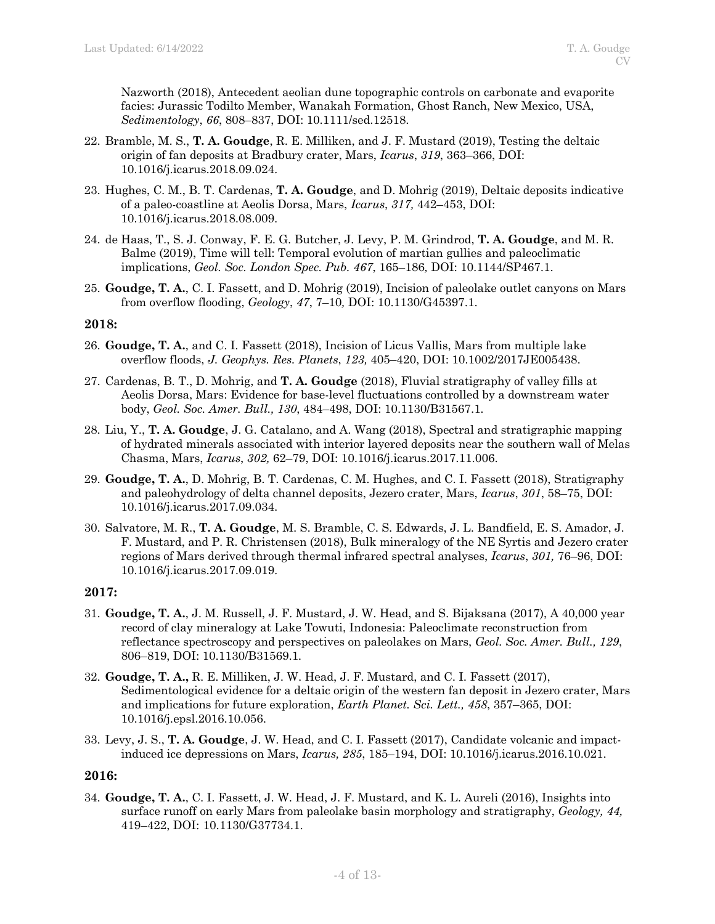Nazworth (2018), Antecedent aeolian dune topographic controls on carbonate and evaporite facies: Jurassic Todilto Member, Wanakah Formation, Ghost Ranch, New Mexico, USA, *Sedimentology*, *66*, 808–837, DOI: 10.1111/sed.12518.

- 22. Bramble, M. S., **T. A. Goudge**, R. E. Milliken, and J. F. Mustard (2019), Testing the deltaic origin of fan deposits at Bradbury crater, Mars, *Icarus*, *319*, 363–366, DOI: 10.1016/j.icarus.2018.09.024.
- 23. Hughes, C. M., B. T. Cardenas, **T. A. Goudge**, and D. Mohrig (2019), Deltaic deposits indicative of a paleo-coastline at Aeolis Dorsa, Mars, *Icarus*, *317,* 442–453, DOI: 10.1016/j.icarus.2018.08.009.
- 24. de Haas, T., S. J. Conway, F. E. G. Butcher, J. Levy, P. M. Grindrod, **T. A. Goudge**, and M. R. Balme (2019), Time will tell: Temporal evolution of martian gullies and paleoclimatic implications, *Geol. Soc. London Spec. Pub. 467*, 165–186*,* DOI: 10.1144/SP467.1.
- 25. **Goudge, T. A.**, C. I. Fassett, and D. Mohrig (2019), Incision of paleolake outlet canyons on Mars from overflow flooding, *Geology*, *47*, 7–10*,* DOI: 10.1130/G45397.1.

#### **2018:**

- 26. **Goudge, T. A.**, and C. I. Fassett (2018), Incision of Licus Vallis, Mars from multiple lake overflow floods, *J. Geophys. Res. Planets*, *123,* 405–420, DOI: 10.1002/2017JE005438.
- 27. Cardenas, B. T., D. Mohrig, and **T. A. Goudge** (2018), Fluvial stratigraphy of valley fills at Aeolis Dorsa, Mars: Evidence for base-level fluctuations controlled by a downstream water body, *Geol. Soc. Amer. Bull., 130*, 484–498, DOI: 10.1130/B31567.1*.*
- 28. Liu, Y., **T. A. Goudge**, J. G. Catalano, and A. Wang (2018), Spectral and stratigraphic mapping of hydrated minerals associated with interior layered deposits near the southern wall of Melas Chasma, Mars, *Icarus*, *302,* 62–79, DOI: 10.1016/j.icarus.2017.11.006.
- 29. **Goudge, T. A.**, D. Mohrig, B. T. Cardenas, C. M. Hughes, and C. I. Fassett (2018), Stratigraphy and paleohydrology of delta channel deposits, Jezero crater, Mars, *Icarus*, *301*, 58–75, DOI: 10.1016/j.icarus.2017.09.034.
- 30. Salvatore, M. R., **T. A. Goudge**, M. S. Bramble, C. S. Edwards, J. L. Bandfield, E. S. Amador, J. F. Mustard, and P. R. Christensen (2018), Bulk mineralogy of the NE Syrtis and Jezero crater regions of Mars derived through thermal infrared spectral analyses, *Icarus*, *301,* 76–96, DOI: 10.1016/j.icarus.2017.09.019.

#### **2017:**

- 31. **Goudge, T. A.**, J. M. Russell, J. F. Mustard, J. W. Head, and S. Bijaksana (2017), A 40,000 year record of clay mineralogy at Lake Towuti, Indonesia: Paleoclimate reconstruction from reflectance spectroscopy and perspectives on paleolakes on Mars, *Geol. Soc. Amer. Bull., 129*, 806–819, DOI: 10.1130/B31569.1*.*
- 32. **Goudge, T. A.,** R. E. Milliken, J. W. Head, J. F. Mustard, and C. I. Fassett (2017), Sedimentological evidence for a deltaic origin of the western fan deposit in Jezero crater, Mars and implications for future exploration, *Earth Planet. Sci. Lett., 458*, 357–365, DOI: 10.1016/j.epsl.2016.10.056.
- 33. Levy, J. S., **T. A. Goudge**, J. W. Head, and C. I. Fassett (2017), Candidate volcanic and impactinduced ice depressions on Mars, *Icarus, 285*, 185–194, DOI: 10.1016/j.icarus.2016.10.021.

#### **2016:**

34. **Goudge, T. A.**, C. I. Fassett, J. W. Head, J. F. Mustard, and K. L. Aureli (2016), Insights into surface runoff on early Mars from paleolake basin morphology and stratigraphy, *Geology, 44,*  419–422, DOI: 10.1130/G37734.1.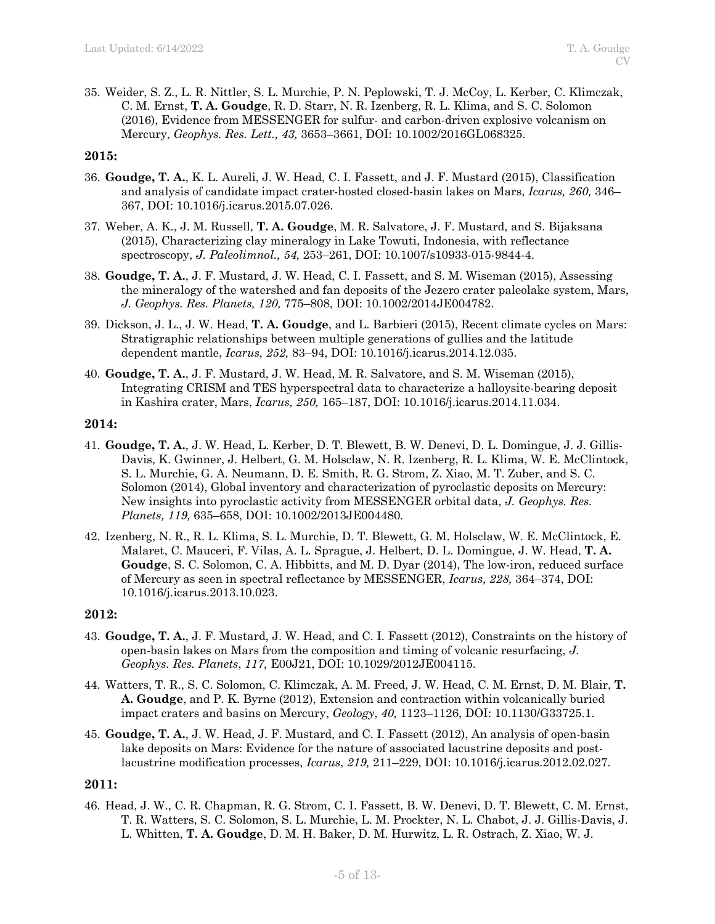35. Weider, S. Z., L. R. Nittler, S. L. Murchie, P. N. Peplowski, T. J. McCoy, L. Kerber, C. Klimczak, C. M. Ernst, **T. A. Goudge**, R. D. Starr, N. R. Izenberg, R. L. Klima, and S. C. Solomon (2016), Evidence from MESSENGER for sulfur- and carbon-driven explosive volcanism on Mercury, *Geophys. Res. Lett., 43,* 3653–3661, DOI: 10.1002/2016GL068325.

#### **2015:**

- 36. **Goudge, T. A.**, K. L. Aureli, J. W. Head, C. I. Fassett, and J. F. Mustard (2015), Classification and analysis of candidate impact crater-hosted closed-basin lakes on Mars, *Icarus, 260,* 346– 367, DOI: 10.1016/j.icarus.2015.07.026.
- 37. Weber, A. K., J. M. Russell, **T. A. Goudge**, M. R. Salvatore, J. F. Mustard, and S. Bijaksana (2015), Characterizing clay mineralogy in Lake Towuti, Indonesia, with reflectance spectroscopy, *J. Paleolimnol., 54,* 253–261, DOI: 10.1007/s10933-015-9844-4.
- 38. **Goudge, T. A.**, J. F. Mustard, J. W. Head, C. I. Fassett, and S. M. Wiseman (2015), Assessing the mineralogy of the watershed and fan deposits of the Jezero crater paleolake system, Mars, *J. Geophys. Res. Planets, 120,* 775–808, DOI: 10.1002/2014JE004782.
- 39. Dickson, J. L., J. W. Head, **T. A. Goudge**, and L. Barbieri (2015), Recent climate cycles on Mars: Stratigraphic relationships between multiple generations of gullies and the latitude dependent mantle, *Icarus, 252,* 83–94, DOI: 10.1016/j.icarus.2014.12.035.
- 40. **Goudge, T. A.**, J. F. Mustard, J. W. Head, M. R. Salvatore, and S. M. Wiseman (2015), Integrating CRISM and TES hyperspectral data to characterize a halloysite-bearing deposit in Kashira crater, Mars, *Icarus, 250,* 165–187, DOI: 10.1016/j.icarus.2014.11.034.

#### **2014:**

- 41. **Goudge, T. A.**, J. W. Head, L. Kerber, D. T. Blewett, B. W. Denevi, D. L. Domingue, J. J. Gillis-Davis, K. Gwinner, J. Helbert, G. M. Holsclaw, N. R. Izenberg, R. L. Klima, W. E. McClintock, S. L. Murchie, G. A. Neumann, D. E. Smith, R. G. Strom, Z. Xiao, M. T. Zuber, and S. C. Solomon (2014), Global inventory and characterization of pyroclastic deposits on Mercury: New insights into pyroclastic activity from MESSENGER orbital data, *J. Geophys. Res. Planets, 119,* 635–658, DOI: 10.1002/2013JE004480*.*
- 42. Izenberg, N. R., R. L. Klima, S. L. Murchie, D. T. Blewett, G. M. Holsclaw, W. E. McClintock, E. Malaret, C. Mauceri, F. Vilas, A. L. Sprague, J. Helbert, D. L. Domingue, J. W. Head, **T. A. Goudge**, S. C. Solomon, C. A. Hibbitts, and M. D. Dyar (2014), The low-iron, reduced surface of Mercury as seen in spectral reflectance by MESSENGER, *Icarus, 228,* 364–374, DOI: 10.1016/j.icarus.2013.10.023.

#### **2012:**

- 43. **Goudge, T. A.**, J. F. Mustard, J. W. Head, and C. I. Fassett (2012), Constraints on the history of open-basin lakes on Mars from the composition and timing of volcanic resurfacing, *J. Geophys. Res. Planets*, *117,* E00J21, DOI: 10.1029/2012JE004115.
- 44. Watters, T. R., S. C. Solomon, C. Klimczak, A. M. Freed, J. W. Head, C. M. Ernst, D. M. Blair, **T. A. Goudge**, and P. K. Byrne (2012), Extension and contraction within volcanically buried impact craters and basins on Mercury, *Geology*, *40,* 1123–1126, DOI: 10.1130/G33725.1.
- 45. **Goudge, T. A.**, J. W. Head, J. F. Mustard, and C. I. Fassett (2012), An analysis of open-basin lake deposits on Mars: Evidence for the nature of associated lacustrine deposits and postlacustrine modification processes, *Icarus*, *219,* 211–229, DOI: 10.1016/j.icarus.2012.02.027.

#### **2011:**

46. Head, J. W., C. R. Chapman, R. G. Strom, C. I. Fassett, B. W. Denevi, D. T. Blewett, C. M. Ernst, T. R. Watters, S. C. Solomon, S. L. Murchie, L. M. Prockter, N. L. Chabot, J. J. Gillis-Davis, J. L. Whitten, **T. A. Goudge**, D. M. H. Baker, D. M. Hurwitz, L. R. Ostrach, Z. Xiao, W. J.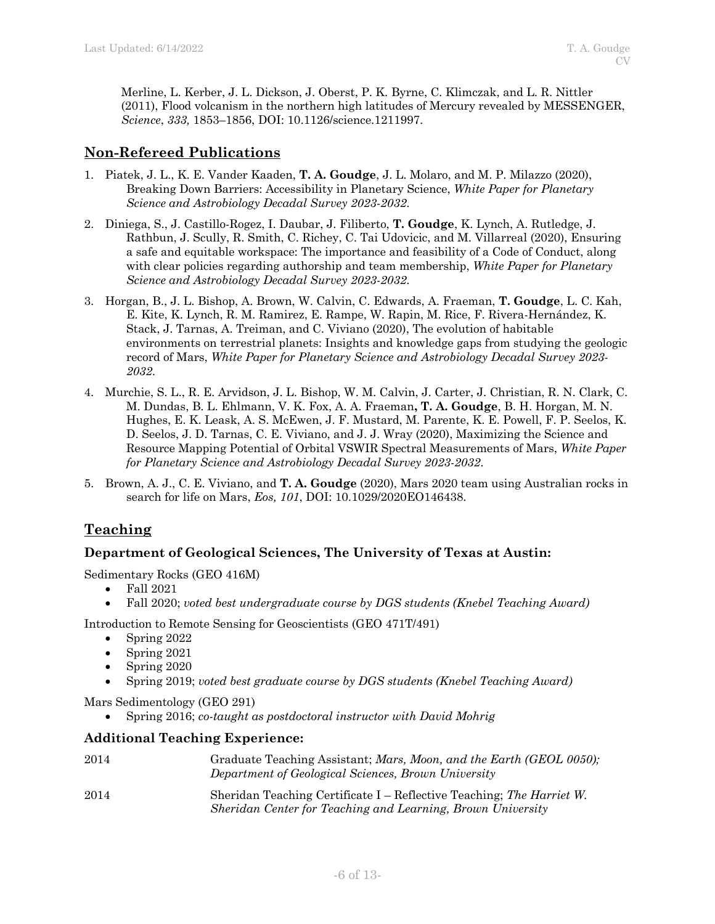Merline, L. Kerber, J. L. Dickson, J. Oberst, P. K. Byrne, C. Klimczak, and L. R. Nittler (2011), Flood volcanism in the northern high latitudes of Mercury revealed by MESSENGER, *Science*, *333,* 1853–1856, DOI: 10.1126/science.1211997.

# **Non-Refereed Publications**

- 1. Piatek, J. L., K. E. Vander Kaaden, **T. A. Goudge**, J. L. Molaro, and M. P. Milazzo (2020), Breaking Down Barriers: Accessibility in Planetary Science, *White Paper for Planetary Science and Astrobiology Decadal Survey 2023-2032*.
- 2. Diniega, S., J. Castillo-Rogez, I. Daubar, J. Filiberto, **T. Goudge**, K. Lynch, A. Rutledge, J. Rathbun, J. Scully, R. Smith, C. Richey, C. Tai Udovicic, and M. Villarreal (2020), Ensuring a safe and equitable workspace: The importance and feasibility of a Code of Conduct, along with clear policies regarding authorship and team membership, *White Paper for Planetary Science and Astrobiology Decadal Survey 2023-2032*.
- 3. Horgan, B., J. L. Bishop, A. Brown, W. Calvin, C. Edwards, A. Fraeman, **T. Goudge**, L. C. Kah, E. Kite, K. Lynch, R. M. Ramirez, E. Rampe, W. Rapin, M. Rice, F. Rivera-Hernández, K. Stack, J. Tarnas, A. Treiman, and C. Viviano (2020), The evolution of habitable environments on terrestrial planets: Insights and knowledge gaps from studying the geologic record of Mars, *White Paper for Planetary Science and Astrobiology Decadal Survey 2023- 2032*.
- 4. Murchie, S. L., R. E. Arvidson, J. L. Bishop, W. M. Calvin, J. Carter, J. Christian, R. N. Clark, C. M. Dundas, B. L. Ehlmann, V. K. Fox, A. A. Fraeman**, T. A. Goudge**, B. H. Horgan, M. N. Hughes, E. K. Leask, A. S. McEwen, J. F. Mustard, M. Parente, K. E. Powell, F. P. Seelos, K. D. Seelos, J. D. Tarnas, C. E. Viviano, and J. J. Wray (2020), Maximizing the Science and Resource Mapping Potential of Orbital VSWIR Spectral Measurements of Mars, *White Paper for Planetary Science and Astrobiology Decadal Survey 2023-2032*.
- 5. Brown, A. J., C. E. Viviano, and **T. A. Goudge** (2020), Mars 2020 team using Australian rocks in search for life on Mars, *Eos, 101*, DOI: 10.1029/2020EO146438.

# **Teaching**

## **Department of Geological Sciences, The University of Texas at Austin:**

Sedimentary Rocks (GEO 416M)

- Fall 2021
- Fall 2020; *voted best undergraduate course by DGS students (Knebel Teaching Award)*

Introduction to Remote Sensing for Geoscientists (GEO 471T/491)

- Spring 2022
- Spring 2021
- Spring 2020
- Spring 2019; *voted best graduate course by DGS students (Knebel Teaching Award)*

Mars Sedimentology (GEO 291)

• Spring 2016; *co-taught as postdoctoral instructor with David Mohrig*

## **Additional Teaching Experience:**

| 2014 | Graduate Teaching Assistant; Mars, Moon, and the Earth (GEOL 0050);<br>Department of Geological Sciences, Brown University           |
|------|--------------------------------------------------------------------------------------------------------------------------------------|
| 2014 | Sheridan Teaching Certificate I – Reflective Teaching; The Harriet W.<br>Sheridan Center for Teaching and Learning, Brown University |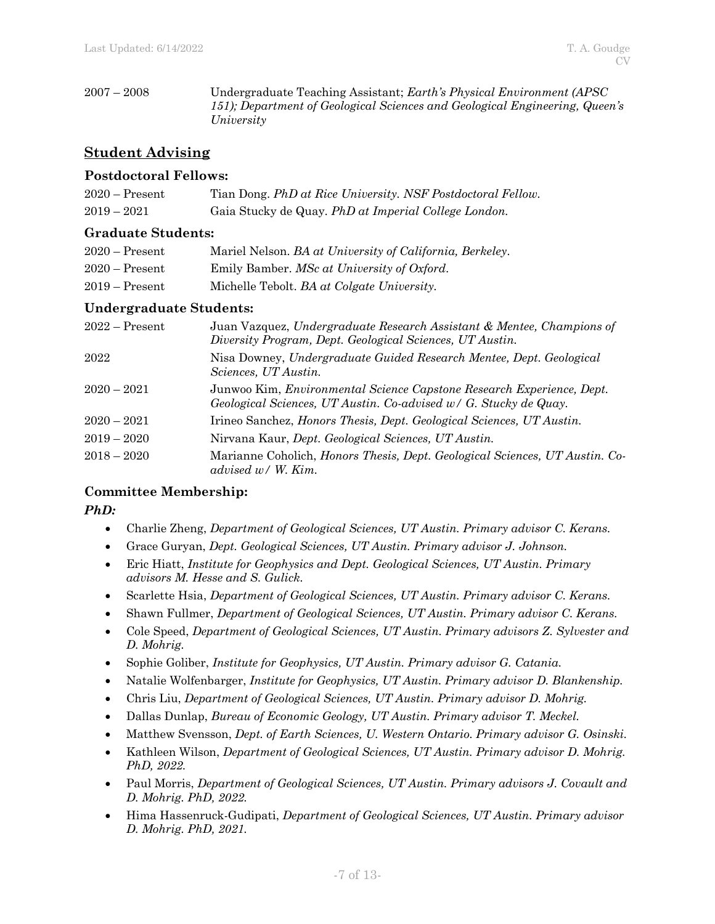2007 – 2008 Undergraduate Teaching Assistant; *Earth's Physical Environment (APSC 151); Department of Geological Sciences and Geological Engineering, Queen's University*

# **Student Advising**

### **Postdoctoral Fellows:**

| $2020 -$ Present | Tian Dong. PhD at Rice University. NSF Postdoctoral Fellow. |
|------------------|-------------------------------------------------------------|
| $2019 - 2021$    | Gaia Stucky de Quay. PhD at Imperial College London.        |

### **Graduate Students:**

| $2020 -$ Present | Mariel Nelson. BA at University of California, Berkeley. |
|------------------|----------------------------------------------------------|
| $2020 -$ Present | Emily Bamber. MSc at University of Oxford.               |
| $2019 -$ Present | Michelle Tebolt. BA at Colgate University.               |

### **Undergraduate Students:**

| $2022 -$ Present | Juan Vazquez, Undergraduate Research Assistant & Mentee, Champions of<br>Diversity Program, Dept. Geological Sciences, UT Austin.         |
|------------------|-------------------------------------------------------------------------------------------------------------------------------------------|
| 2022             | Nisa Downey, Undergraduate Guided Research Mentee, Dept. Geological<br>Sciences, UT Austin.                                               |
| $2020 - 2021$    | Junwoo Kim, Environmental Science Capstone Research Experience, Dept.<br>Geological Sciences, UT Austin. Co-advised w/ G. Stucky de Quay. |
| $2020 - 2021$    | Irineo Sanchez, Honors Thesis, Dept. Geological Sciences, UT Austin.                                                                      |
| $2019 - 2020$    | Nirvana Kaur, Dept. Geological Sciences, UT Austin.                                                                                       |
| $2018 - 2020$    | Marianne Coholich, <i>Honors Thesis, Dept. Geological Sciences, UT Austin. Co-</i><br>advised $w / W$ . Kim.                              |

## **Committee Membership:**

*PhD:*

- Charlie Zheng, *Department of Geological Sciences, UT Austin. Primary advisor C. Kerans.*
- Grace Guryan, *Dept. Geological Sciences, UT Austin. Primary advisor J. Johnson.*
- Eric Hiatt, *Institute for Geophysics and Dept. Geological Sciences, UT Austin. Primary advisors M. Hesse and S. Gulick.*
- Scarlette Hsia, *Department of Geological Sciences, UT Austin. Primary advisor C. Kerans.*
- Shawn Fullmer, *Department of Geological Sciences, UT Austin. Primary advisor C. Kerans.*
- Cole Speed, *Department of Geological Sciences, UT Austin. Primary advisors Z. Sylvester and D. Mohrig.*
- Sophie Goliber, *Institute for Geophysics, UT Austin. Primary advisor G. Catania.*
- Natalie Wolfenbarger, *Institute for Geophysics, UT Austin. Primary advisor D. Blankenship.*
- Chris Liu, *Department of Geological Sciences, UT Austin. Primary advisor D. Mohrig.*
- Dallas Dunlap, *Bureau of Economic Geology, UT Austin. Primary advisor T. Meckel.*
- Matthew Svensson, *Dept. of Earth Sciences, U. Western Ontario. Primary advisor G. Osinski.*
- Kathleen Wilson, *Department of Geological Sciences, UT Austin. Primary advisor D. Mohrig. PhD, 2022.*
- Paul Morris, *Department of Geological Sciences, UT Austin. Primary advisors J. Covault and D. Mohrig. PhD, 2022.*
- Hima Hassenruck-Gudipati, *Department of Geological Sciences, UT Austin. Primary advisor D. Mohrig. PhD, 2021.*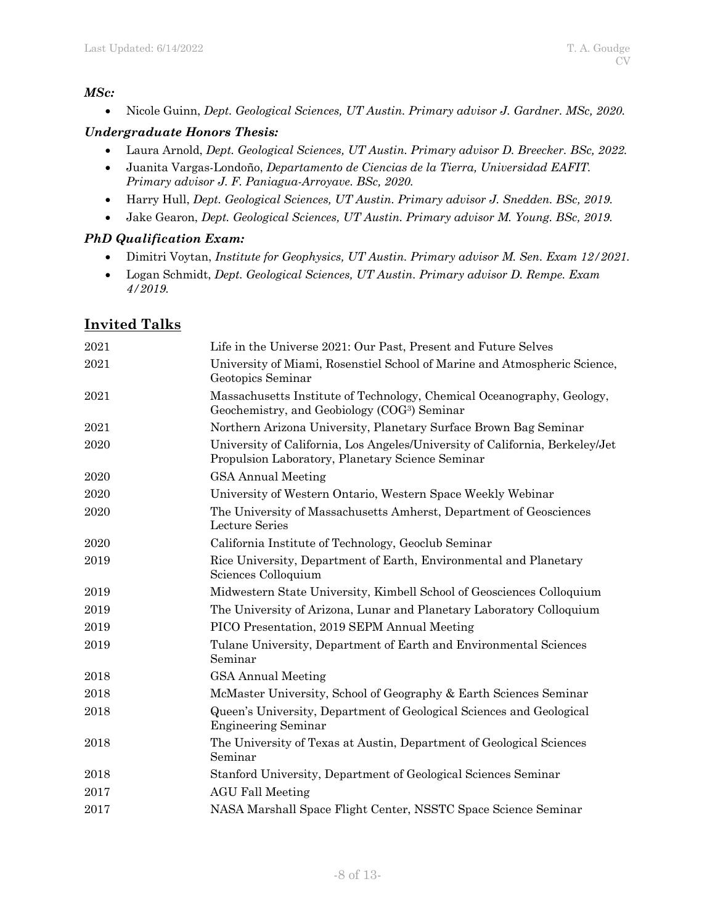## *MSc:*

• Nicole Guinn, *Dept. Geological Sciences, UT Austin. Primary advisor J. Gardner. MSc, 2020.*

## *Undergraduate Honors Thesis:*

- Laura Arnold, *Dept. Geological Sciences, UT Austin. Primary advisor D. Breecker. BSc, 2022.*
- Juanita Vargas-Londoño, *Departamento de Ciencias de la Tierra, Universidad EAFIT. Primary advisor J. F. Paniagua-Arroyave. BSc, 2020.*
- Harry Hull, *Dept. Geological Sciences, UT Austin. Primary advisor J. Snedden. BSc, 2019.*
- Jake Gearon, *Dept. Geological Sciences, UT Austin. Primary advisor M. Young. BSc, 2019.*

## *PhD Qualification Exam:*

- Dimitri Voytan, *Institute for Geophysics, UT Austin. Primary advisor M. Sen. Exam 12/2021.*
- Logan Schmidt, *Dept. Geological Sciences, UT Austin. Primary advisor D. Rempe. Exam 4/2019.*

# **Invited Talks**

| 2021 | Life in the Universe 2021: Our Past, Present and Future Selves                                                                     |
|------|------------------------------------------------------------------------------------------------------------------------------------|
| 2021 | University of Miami, Rosenstiel School of Marine and Atmospheric Science,<br>Geotopics Seminar                                     |
| 2021 | Massachusetts Institute of Technology, Chemical Oceanography, Geology,<br>Geochemistry, and Geobiology (COG <sup>3</sup> ) Seminar |
| 2021 | Northern Arizona University, Planetary Surface Brown Bag Seminar                                                                   |
| 2020 | University of California, Los Angeles/University of California, Berkeley/Jet<br>Propulsion Laboratory, Planetary Science Seminar   |
| 2020 | <b>GSA Annual Meeting</b>                                                                                                          |
| 2020 | University of Western Ontario, Western Space Weekly Webinar                                                                        |
| 2020 | The University of Massachusetts Amherst, Department of Geosciences<br>Lecture Series                                               |
| 2020 | California Institute of Technology, Geoclub Seminar                                                                                |
| 2019 | Rice University, Department of Earth, Environmental and Planetary<br>Sciences Colloquium                                           |
| 2019 | Midwestern State University, Kimbell School of Geosciences Colloquium                                                              |
| 2019 | The University of Arizona, Lunar and Planetary Laboratory Colloquium                                                               |
| 2019 | PICO Presentation, 2019 SEPM Annual Meeting                                                                                        |
| 2019 | Tulane University, Department of Earth and Environmental Sciences<br>Seminar                                                       |
| 2018 | <b>GSA Annual Meeting</b>                                                                                                          |
| 2018 | McMaster University, School of Geography & Earth Sciences Seminar                                                                  |
| 2018 | Queen's University, Department of Geological Sciences and Geological<br><b>Engineering Seminar</b>                                 |
| 2018 | The University of Texas at Austin, Department of Geological Sciences<br>Seminar                                                    |
| 2018 | Stanford University, Department of Geological Sciences Seminar                                                                     |
| 2017 | <b>AGU Fall Meeting</b>                                                                                                            |
| 2017 | NASA Marshall Space Flight Center, NSSTC Space Science Seminar                                                                     |
|      |                                                                                                                                    |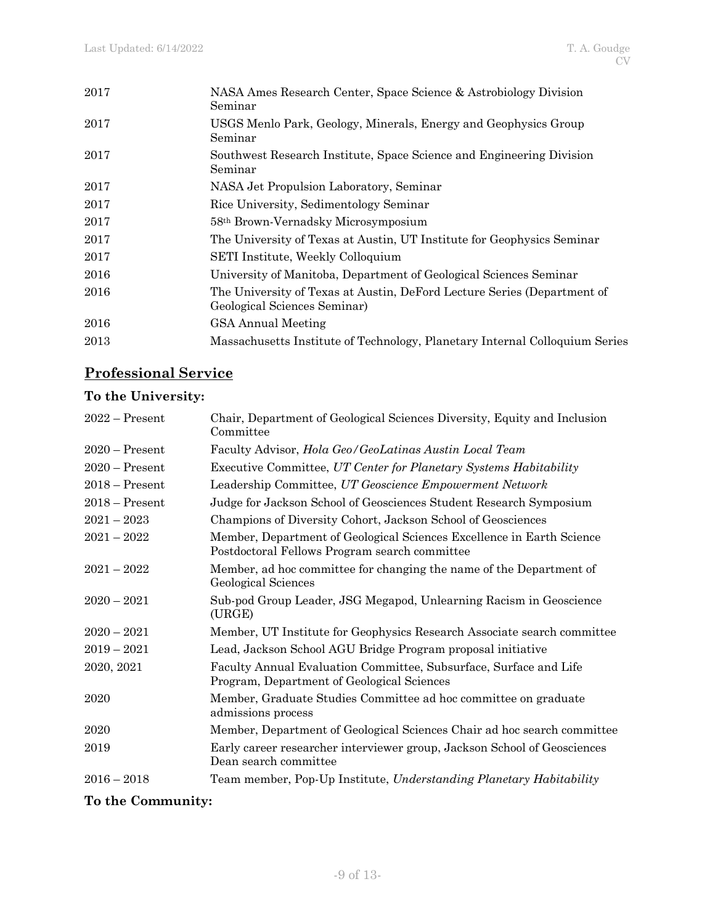| 2017 | NASA Ames Research Center, Space Science & Astrobiology Division<br>Seminar                             |
|------|---------------------------------------------------------------------------------------------------------|
| 2017 | USGS Menlo Park, Geology, Minerals, Energy and Geophysics Group<br>Seminar                              |
| 2017 | Southwest Research Institute, Space Science and Engineering Division<br>Seminar                         |
| 2017 | NASA Jet Propulsion Laboratory, Seminar                                                                 |
| 2017 | Rice University, Sedimentology Seminar                                                                  |
| 2017 | 58 <sup>th</sup> Brown-Vernadsky Microsymposium                                                         |
| 2017 | The University of Texas at Austin, UT Institute for Geophysics Seminar                                  |
| 2017 | SETI Institute, Weekly Colloquium                                                                       |
| 2016 | University of Manitoba, Department of Geological Sciences Seminar                                       |
| 2016 | The University of Texas at Austin, DeFord Lecture Series (Department of<br>Geological Sciences Seminar) |
| 2016 | <b>GSA Annual Meeting</b>                                                                               |
| 2013 | Massachusetts Institute of Technology, Planetary Internal Colloquium Series                             |
|      |                                                                                                         |

# **Professional Service**

# **To the University:**

| $2022 -$ Present | Chair, Department of Geological Sciences Diversity, Equity and Inclusion<br>Committee                                  |
|------------------|------------------------------------------------------------------------------------------------------------------------|
| $2020 -$ Present | Faculty Advisor, <i>Hola Geo/GeoLatinas Austin Local Team</i>                                                          |
| $2020$ – Present | Executive Committee, UT Center for Planetary Systems Habitability                                                      |
| $2018 -$ Present | Leadership Committee, UT Geoscience Empowerment Network                                                                |
| $2018 -$ Present | Judge for Jackson School of Geosciences Student Research Symposium                                                     |
| $2021 - 2023$    | Champions of Diversity Cohort, Jackson School of Geosciences                                                           |
| $2021 - 2022$    | Member, Department of Geological Sciences Excellence in Earth Science<br>Postdoctoral Fellows Program search committee |
| $2021 - 2022$    | Member, ad hoc committee for changing the name of the Department of<br>Geological Sciences                             |
| $2020 - 2021$    | Sub-pod Group Leader, JSG Megapod, Unlearning Racism in Geoscience<br>(URGE)                                           |
| $2020 - 2021$    | Member, UT Institute for Geophysics Research Associate search committee                                                |
| $2019 - 2021$    | Lead, Jackson School AGU Bridge Program proposal initiative                                                            |
| 2020, 2021       | Faculty Annual Evaluation Committee, Subsurface, Surface and Life<br>Program, Department of Geological Sciences        |
| 2020             | Member, Graduate Studies Committee ad hoc committee on graduate<br>admissions process                                  |
| 2020             | Member, Department of Geological Sciences Chair ad hoc search committee                                                |
| 2019             | Early career researcher interviewer group, Jackson School of Geosciences<br>Dean search committee                      |
| $2016 - 2018$    | Team member, Pop-Up Institute, Understanding Planetary Habitability                                                    |
|                  |                                                                                                                        |

# **To the Community:**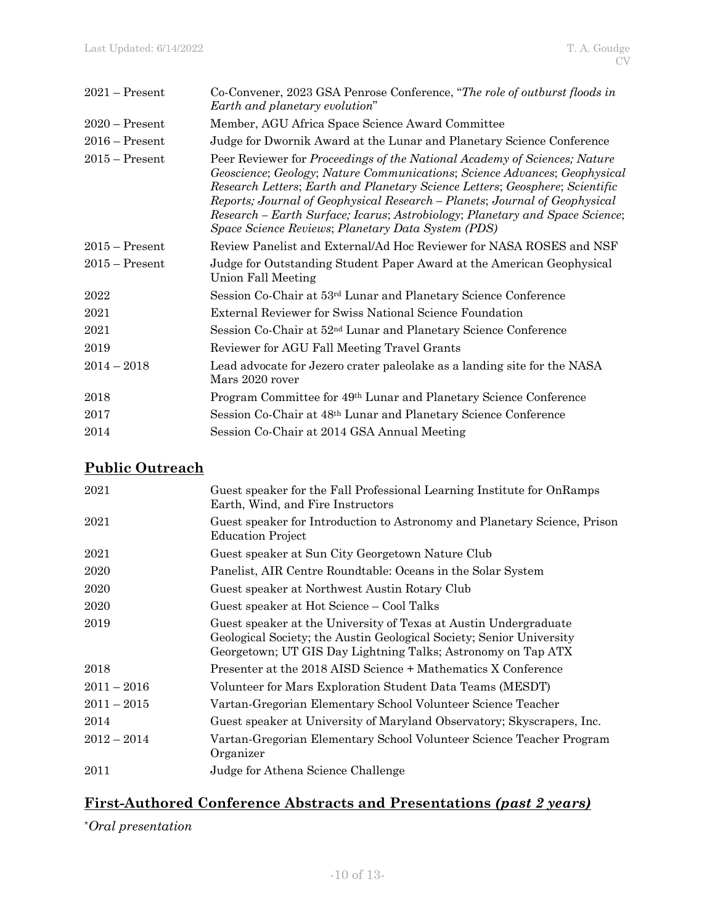| $2021 -$ Present | Co-Convener, 2023 GSA Penrose Conference, "The role of outburst floods in<br>Earth and planetary evolution"                                                                                                                                                                                                                                                                                                                                                |
|------------------|------------------------------------------------------------------------------------------------------------------------------------------------------------------------------------------------------------------------------------------------------------------------------------------------------------------------------------------------------------------------------------------------------------------------------------------------------------|
| $2020$ – Present | Member, AGU Africa Space Science Award Committee                                                                                                                                                                                                                                                                                                                                                                                                           |
| $2016$ – Present | Judge for Dwornik Award at the Lunar and Planetary Science Conference                                                                                                                                                                                                                                                                                                                                                                                      |
| $2015$ – Present | Peer Reviewer for Proceedings of the National Academy of Sciences; Nature<br>Geoscience; Geology; Nature Communications; Science Advances; Geophysical<br>Research Letters; Earth and Planetary Science Letters; Geosphere; Scientific<br>Reports; Journal of Geophysical Research – Planets; Journal of Geophysical<br>Research – Earth Surface; Icarus; Astrobiology; Planetary and Space Science;<br>Space Science Reviews; Planetary Data System (PDS) |
| $2015 -$ Present | Review Panelist and External/Ad Hoc Reviewer for NASA ROSES and NSF                                                                                                                                                                                                                                                                                                                                                                                        |
| $2015 -$ Present | Judge for Outstanding Student Paper Award at the American Geophysical<br>Union Fall Meeting                                                                                                                                                                                                                                                                                                                                                                |
| 2022             | Session Co-Chair at 53 <sup>rd</sup> Lunar and Planetary Science Conference                                                                                                                                                                                                                                                                                                                                                                                |
| 2021             | External Reviewer for Swiss National Science Foundation                                                                                                                                                                                                                                                                                                                                                                                                    |
| 2021             | Session Co-Chair at 52 <sup>nd</sup> Lunar and Planetary Science Conference                                                                                                                                                                                                                                                                                                                                                                                |
| 2019             | Reviewer for AGU Fall Meeting Travel Grants                                                                                                                                                                                                                                                                                                                                                                                                                |
| $2014 - 2018$    | Lead advocate for Jezero crater paleolake as a landing site for the NASA<br>Mars 2020 rover                                                                                                                                                                                                                                                                                                                                                                |
| 2018             | Program Committee for 49 <sup>th</sup> Lunar and Planetary Science Conference                                                                                                                                                                                                                                                                                                                                                                              |
| 2017             | Session Co-Chair at 48th Lunar and Planetary Science Conference                                                                                                                                                                                                                                                                                                                                                                                            |
| 2014             | Session Co-Chair at 2014 GSA Annual Meeting                                                                                                                                                                                                                                                                                                                                                                                                                |

# **Public Outreach**

| 2021          | Guest speaker for the Fall Professional Learning Institute for OnRamps<br>Earth, Wind, and Fire Instructors                                                                                              |
|---------------|----------------------------------------------------------------------------------------------------------------------------------------------------------------------------------------------------------|
| 2021          | Guest speaker for Introduction to Astronomy and Planetary Science, Prison<br><b>Education Project</b>                                                                                                    |
| 2021          | Guest speaker at Sun City Georgetown Nature Club                                                                                                                                                         |
| 2020          | Panelist, AIR Centre Roundtable: Oceans in the Solar System                                                                                                                                              |
| 2020          | Guest speaker at Northwest Austin Rotary Club                                                                                                                                                            |
| 2020          | Guest speaker at Hot Science – Cool Talks                                                                                                                                                                |
| 2019          | Guest speaker at the University of Texas at Austin Undergraduate<br>Geological Society; the Austin Geological Society; Senior University<br>Georgetown; UT GIS Day Lightning Talks; Astronomy on Tap ATX |
| 2018          | Presenter at the 2018 AISD Science + Mathematics X Conference                                                                                                                                            |
| $2011 - 2016$ | Volunteer for Mars Exploration Student Data Teams (MESDT)                                                                                                                                                |
| $2011 - 2015$ | Vartan-Gregorian Elementary School Volunteer Science Teacher                                                                                                                                             |
| 2014          | Guest speaker at University of Maryland Observatory; Skyscrapers, Inc.                                                                                                                                   |
| $2012 - 2014$ | Vartan-Gregorian Elementary School Volunteer Science Teacher Program<br>Organizer                                                                                                                        |
| 2011          | Judge for Athena Science Challenge                                                                                                                                                                       |

# **First-Authored Conference Abstracts and Presentations** *(past 2 years)*

*\*Oral presentation*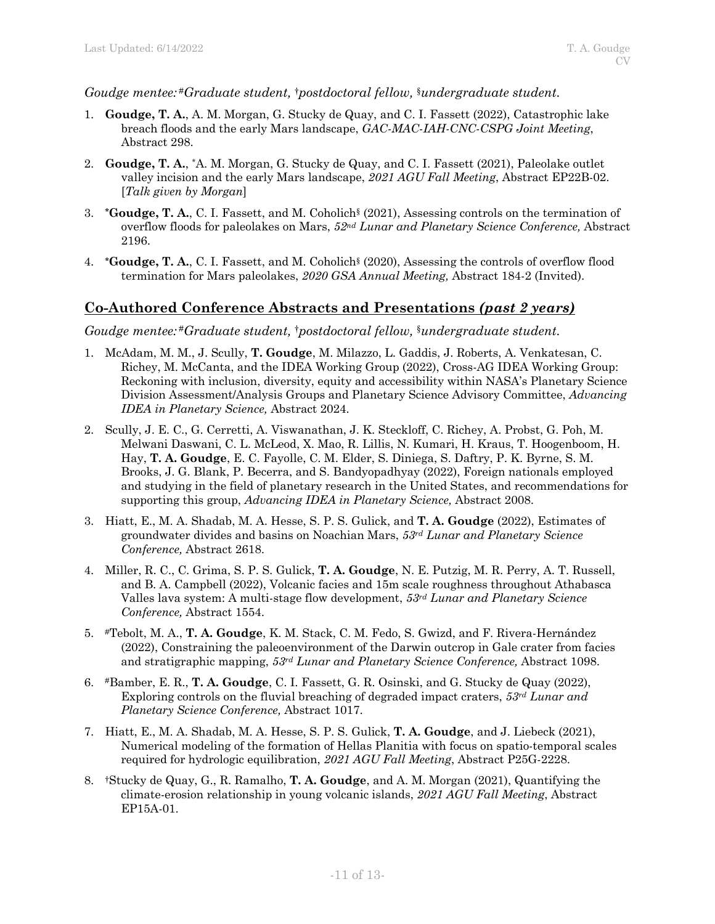#### *Goudge mentee:* #*Graduate student,* †*postdoctoral fellow,* §*undergraduate student.*

- 1. **Goudge, T. A.**, A. M. Morgan, G. Stucky de Quay, and C. I. Fassett (2022), Catastrophic lake breach floods and the early Mars landscape, *GAC-MAC-IAH-CNC-CSPG Joint Meeting*, Abstract 298.
- 2. **Goudge, T. A.**, \*A. M. Morgan, G. Stucky de Quay, and C. I. Fassett (2021), Paleolake outlet valley incision and the early Mars landscape, *2021 AGU Fall Meeting*, Abstract EP22B-02. [*Talk given by Morgan*]
- 3. **\*Goudge, T. A.**, C. I. Fassett, and M. Coholich§ (2021), Assessing controls on the termination of overflow floods for paleolakes on Mars, *52nd Lunar and Planetary Science Conference,* Abstract 2196.
- 4. **\*Goudge, T. A.**, C. I. Fassett, and M. Coholich§ (2020), Assessing the controls of overflow flood termination for Mars paleolakes, *2020 GSA Annual Meeting,* Abstract 184-2 (Invited).

## **Co-Authored Conference Abstracts and Presentations** *(past 2 years)*

*Goudge mentee:* #*Graduate student,* †*postdoctoral fellow,* §*undergraduate student.* 

- 1. McAdam, M. M., J. Scully, **T. Goudge**, M. Milazzo, L. Gaddis, J. Roberts, A. Venkatesan, C. Richey, M. McCanta, and the IDEA Working Group (2022), Cross-AG IDEA Working Group: Reckoning with inclusion, diversity, equity and accessibility within NASA's Planetary Science Division Assessment/Analysis Groups and Planetary Science Advisory Committee, *Advancing IDEA in Planetary Science,* Abstract 2024.
- 2. Scully, J. E. C., G. Cerretti, A. Viswanathan, J. K. Steckloff, C. Richey, A. Probst, G. Poh, M. Melwani Daswani, C. L. McLeod, X. Mao, R. Lillis, N. Kumari, H. Kraus, T. Hoogenboom, H. Hay, **T. A. Goudge**, E. C. Fayolle, C. M. Elder, S. Diniega, S. Daftry, P. K. Byrne, S. M. Brooks, J. G. Blank, P. Becerra, and S. Bandyopadhyay (2022), Foreign nationals employed and studying in the field of planetary research in the United States, and recommendations for supporting this group, *Advancing IDEA in Planetary Science,* Abstract 2008.
- 3. Hiatt, E., M. A. Shadab, M. A. Hesse, S. P. S. Gulick, and **T. A. Goudge** (2022), Estimates of groundwater divides and basins on Noachian Mars, *53rd Lunar and Planetary Science Conference,* Abstract 2618.
- 4. Miller, R. C., C. Grima, S. P. S. Gulick, **T. A. Goudge**, N. E. Putzig, M. R. Perry, A. T. Russell, and B. A. Campbell (2022), Volcanic facies and 15m scale roughness throughout Athabasca Valles lava system: A multi-stage flow development, *53rd Lunar and Planetary Science Conference,* Abstract 1554.
- 5. #Tebolt, M. A., **T. A. Goudge**, K. M. Stack, C. M. Fedo, S. Gwizd, and F. Rivera-Hernández (2022), Constraining the paleoenvironment of the Darwin outcrop in Gale crater from facies and stratigraphic mapping, *53rd Lunar and Planetary Science Conference,* Abstract 1098.
- 6. #Bamber, E. R., **T. A. Goudge**, C. I. Fassett, G. R. Osinski, and G. Stucky de Quay (2022), Exploring controls on the fluvial breaching of degraded impact craters, *53rd Lunar and Planetary Science Conference,* Abstract 1017.
- 7. Hiatt, E., M. A. Shadab, M. A. Hesse, S. P. S. Gulick, **T. A. Goudge**, and J. Liebeck (2021), Numerical modeling of the formation of Hellas Planitia with focus on spatio-temporal scales required for hydrologic equilibration, *2021 AGU Fall Meeting*, Abstract P25G-2228.
- 8. †Stucky de Quay, G., R. Ramalho, **T. A. Goudge**, and A. M. Morgan (2021), Quantifying the climate-erosion relationship in young volcanic islands, *2021 AGU Fall Meeting*, Abstract EP15A-01.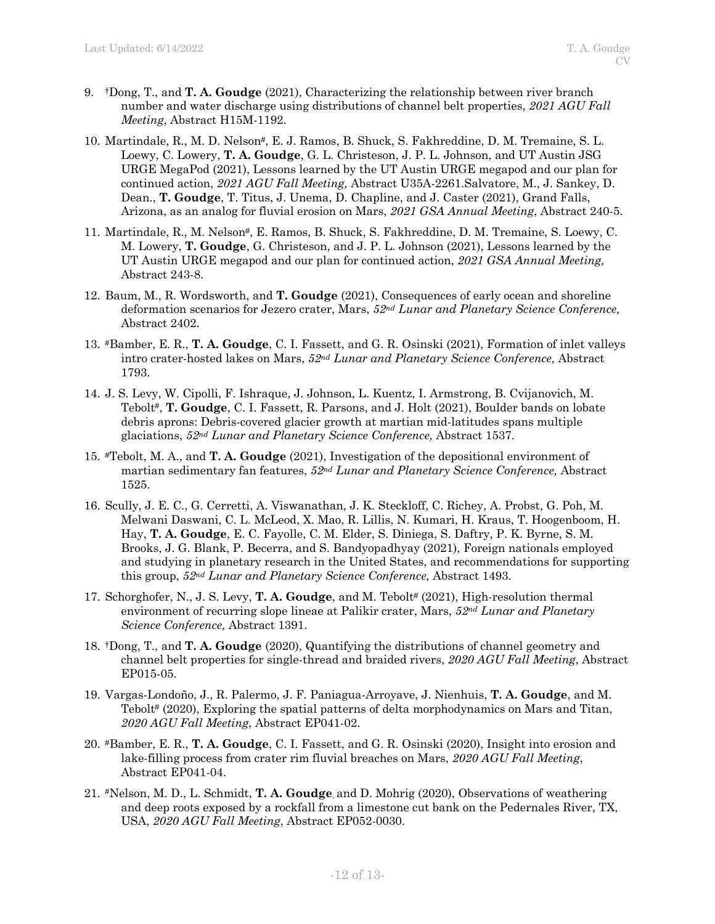- 9. †Dong, T., and **T. A. Goudge** (2021), Characterizing the relationship between river branch number and water discharge using distributions of channel belt properties, *2021 AGU Fall Meeting*, Abstract H15M-1192.
- 10. Martindale, R., M. D. Nelson#, E. J. Ramos, B. Shuck, S. Fakhreddine, D. M. Tremaine, S. L. Loewy, C. Lowery, **T. A. Goudge**, G. L. Christeson, J. P. L. Johnson, and UT Austin JSG URGE MegaPod (2021), Lessons learned by the UT Austin URGE megapod and our plan for continued action, *2021 AGU Fall Meeting,* Abstract U35A-2261.Salvatore, M., J. Sankey, D. Dean., **T. Goudge**, T. Titus, J. Unema, D. Chapline, and J. Caster (2021), Grand Falls, Arizona, as an analog for fluvial erosion on Mars, *2021 GSA Annual Meeting*, Abstract 240-5.
- 11. Martindale, R., M. Nelson#, E. Ramos, B. Shuck, S. Fakhreddine, D. M. Tremaine, S. Loewy, C. M. Lowery, **T. Goudge**, G. Christeson, and J. P. L. Johnson (2021), Lessons learned by the UT Austin URGE megapod and our plan for continued action, *2021 GSA Annual Meeting,*  Abstract 243-8.
- 12. Baum, M., R. Wordsworth, and **T. Goudge** (2021), Consequences of early ocean and shoreline deformation scenarios for Jezero crater, Mars, *52nd Lunar and Planetary Science Conference,*  Abstract 2402.
- 13. #Bamber, E. R., **T. A. Goudge**, C. I. Fassett, and G. R. Osinski (2021), Formation of inlet valleys intro crater-hosted lakes on Mars, *52nd Lunar and Planetary Science Conference,* Abstract 1793.
- 14. J. S. Levy, W. Cipolli, F. Ishraque, J. Johnson, L. Kuentz, I. Armstrong, B. Cvijanovich, M. Tebolt#, **T. Goudge**, C. I. Fassett, R. Parsons, and J. Holt (2021), Boulder bands on lobate debris aprons: Debris-covered glacier growth at martian mid-latitudes spans multiple glaciations, *52nd Lunar and Planetary Science Conference,* Abstract 1537.
- 15. #Tebolt, M. A., and **T. A. Goudge** (2021), Investigation of the depositional environment of martian sedimentary fan features, *52nd Lunar and Planetary Science Conference,* Abstract 1525.
- 16. Scully, J. E. C., G. Cerretti, A. Viswanathan, J. K. Steckloff, C. Richey, A. Probst, G. Poh, M. Melwani Daswani, C. L. McLeod, X. Mao, R. Lillis, N. Kumari, H. Kraus, T. Hoogenboom, H. Hay, **T. A. Goudge**, E. C. Fayolle, C. M. Elder, S. Diniega, S. Daftry, P. K. Byrne, S. M. Brooks, J. G. Blank, P. Becerra, and S. Bandyopadhyay (2021), Foreign nationals employed and studying in planetary research in the United States, and recommendations for supporting this group, *52nd Lunar and Planetary Science Conference,* Abstract 1493.
- 17. Schorghofer, N., J. S. Levy, **T. A. Goudge**, and M. Tebolt<sup>#</sup> (2021), High-resolution thermal environment of recurring slope lineae at Palikir crater, Mars, *52nd Lunar and Planetary Science Conference,* Abstract 1391.
- 18. †Dong, T., and **T. A. Goudge** (2020), Quantifying the distributions of channel geometry and channel belt properties for single-thread and braided rivers, *2020 AGU Fall Meeting*, Abstract EP015-05.
- 19. Vargas-Londoño, J., R. Palermo, J. F. Paniagua-Arroyave, J. Nienhuis, **T. A. Goudge**, and M. Tebolt<sup>#</sup> (2020), Exploring the spatial patterns of delta morphodynamics on Mars and Titan, *2020 AGU Fall Meeting*, Abstract EP041-02.
- 20. #Bamber, E. R., **T. A. Goudge**, C. I. Fassett, and G. R. Osinski (2020), Insight into erosion and lake-filling process from crater rim fluvial breaches on Mars, *2020 AGU Fall Meeting*, Abstract EP041-04.
- 21. #Nelson, M. D., L. Schmidt, **T. A. Goudge**, and D. Mohrig (2020), Observations of weathering and deep roots exposed by a rockfall from a limestone cut bank on the Pedernales River, TX, USA, *2020 AGU Fall Meeting*, Abstract EP052-0030.